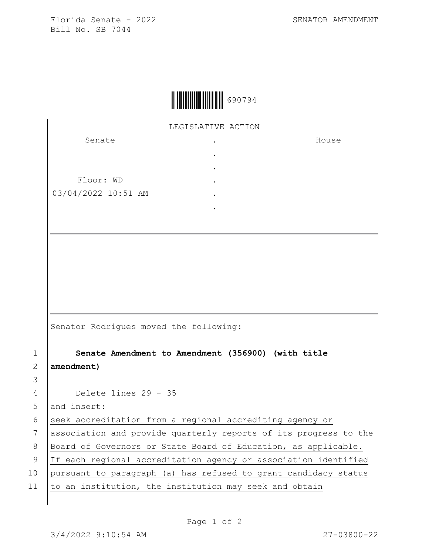Florida Senate - 2022 SENATOR AMENDMENT Bill No. SB 7044

House



LEGISLATIVE ACTION

. . . . . .

Senate Floor: WD 03/04/2022 10:51 AM

Senator Rodrigues moved the following:

 **Senate Amendment to Amendment (356900) (with title amendment)** Delete lines 29 - 35 5 and insert: 6 seek accreditation from a regional accrediting agency or association and provide quarterly reports of its progress to the 8 | Board of Governors or State Board of Education, as applicable. If each regional accreditation agency or association identified pursuant to paragraph (a) has refused to grant candidacy status  $\vert$  to an institution, the institution may seek and obtain

3